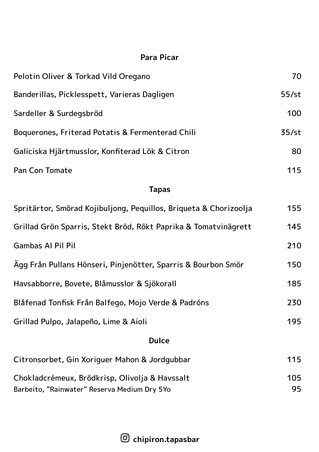## **Para Picar**

| Pelotin Oliver & Torkad Vild Oregano                              | 70       |  |
|-------------------------------------------------------------------|----------|--|
| Banderillas, Picklesspett, Varieras Dagligen                      | $55$ /st |  |
| Sardeller & Surdegsbröd                                           | 100      |  |
| Boquerones, Friterad Potatis & Fermenterad Chili                  | 35/st    |  |
| Galiciska Hjärtmusslor, Konfiterad Lök & Citron                   | 80       |  |
| Pan Con Tomate                                                    | 115      |  |
| <b>Tapas</b>                                                      |          |  |
| Spritärtor, Smörad Kojibuljong, Pequillos, Briqueta & Chorizoolja | 155      |  |
| Grillad Grön Sparris, Stekt Bröd, Rökt Paprika & Tomatvinägrett   | 145      |  |
| Gambas Al Pil Pil                                                 | 210      |  |
| Ägg Från Pullans Hönseri, Pinjenötter, Sparris & Bourbon Smör     | 150      |  |
| Havsabborre, Bovete, Blåmusslor & Sjökorall                       | 185      |  |
| Blåfenad Tonfisk Från Balfego, Mojo Verde & Padróns               | 230      |  |
| Grillad Pulpo, Jalapeño, Lime & Aioli                             | 195      |  |

## **Dulce**

| Citronsorbet, Gin Xoriquer Mahon & Jordqubbar  | 115 |
|------------------------------------------------|-----|
| Chokladcrémeux, Brödkrisp, Olivolja & Havssalt | 105 |
| Barbeito, "Rainwater" Reserva Medium Dry 5Yo   | 95. |